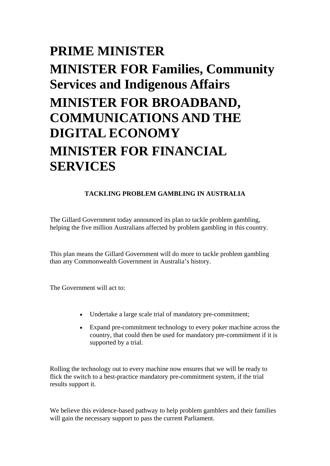## **PRIME MINISTER MINISTER FOR Families, Community Services and Indigenous Affairs MINISTER FOR BROADBAND, COMMUNICATIONS AND THE DIGITAL ECONOMY MINISTER FOR FINANCIAL SERVICES**

## **TACKLING PROBLEM GAMBLING IN AUSTRALIA**

The Gillard Government today announced its plan to tackle problem gambling, helping the five million Australians affected by problem gambling in this country.

This plan means the Gillard Government will do more to tackle problem gambling than any Commonwealth Government in Australia's history.

The Government will act to:

- Undertake a large scale trial of mandatory pre-commitment;
- Expand pre-commitment technology to every poker machine across the country, that could then be used for mandatory pre-commitment if it is supported by a trial.

Rolling the technology out to every machine now ensures that we will be ready to flick the switch to a best-practice mandatory pre-commitment system, if the trial results support it.

We believe this evidence-based pathway to help problem gamblers and their families will gain the necessary support to pass the current Parliament.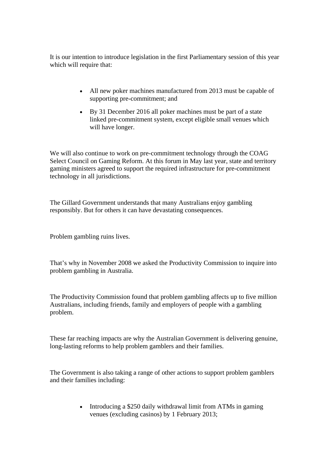It is our intention to introduce legislation in the first Parliamentary session of this year which will require that:

- All new poker machines manufactured from 2013 must be capable of supporting pre-commitment; and
- By 31 December 2016 all poker machines must be part of a state linked pre-commitment system, except eligible small venues which will have longer.

We will also continue to work on pre-commitment technology through the COAG Select Council on Gaming Reform. At this forum in May last year, state and territory gaming ministers agreed to support the required infrastructure for pre-commitment technology in all jurisdictions.

The Gillard Government understands that many Australians enjoy gambling responsibly. But for others it can have devastating consequences.

Problem gambling ruins lives.

That's why in November 2008 we asked the Productivity Commission to inquire into problem gambling in Australia.

The Productivity Commission found that problem gambling affects up to five million Australians, including friends, family and employers of people with a gambling problem.

These far reaching impacts are why the Australian Government is delivering genuine, long-lasting reforms to help problem gamblers and their families.

The Government is also taking a range of other actions to support problem gamblers and their families including:

> • Introducing a \$250 daily withdrawal limit from ATMs in gaming venues (excluding casinos) by 1 February 2013;